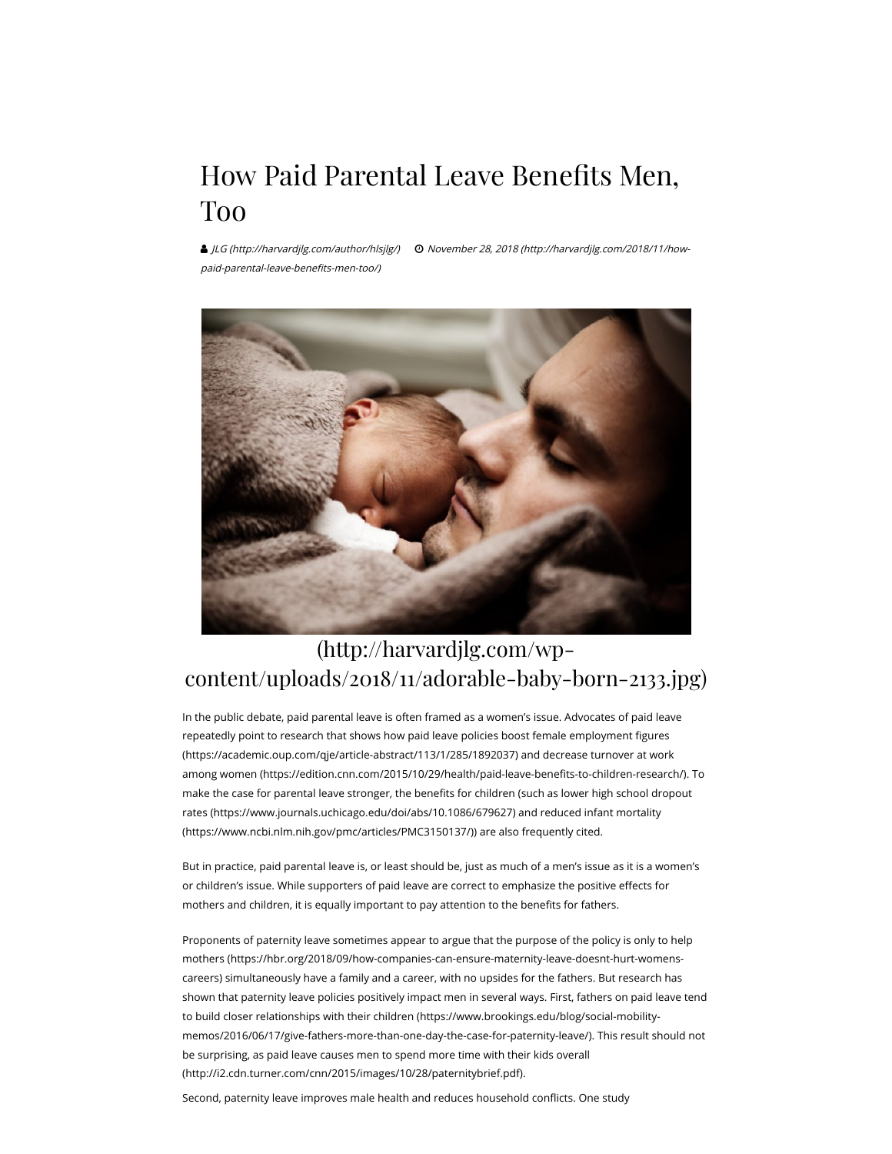## How Paid Parental Leave Benefits Men, Too

 [JLG \(http://harvardjlg.com/author/hlsjlg/\)](http://harvardjlg.com/author/hlsjlg/) [November 28, 2018 \(http://harvardjlg.com/2018/11/how](http://harvardjlg.com/2018/11/how-paid-parental-leave-benefits-men-too/)paid-parental-leave-benefits-men-too/)



## (http://harvardjlg.com/wp[content/uploads/2018/11/adorable-baby-born-2133.jpg\)](http://harvardjlg.com/wp-content/uploads/2018/11/adorable-baby-born-2133.jpg)

In the public debate, paid parental leave is often framed as a women's issue. Advocates of paid leave repeatedly point to research that shows how paid leave policies boost female employment figures (https://academic.oup.com/qje/article-abstract/113/1/285/1892037) and decrease turnover at work among women (https://edition.cnn.com/2015/10/29/health/paid-leave-benefits-to-children-research/). To make the case for parental leave stronger, the benefits for children (such as lower high school dropout [rates \(https://www.journals.uchicago.edu/doi/abs/10.1086/679627\) and reduced infant mortality](https://www.ncbi.nlm.nih.gov/pmc/articles/PMC3150137/) (https://www.ncbi.nlm.nih.gov/pmc/articles/PMC3150137/)) are also frequently cited.

But in practice, paid parental leave is, or least should be, just as much of a men's issue as it is a women's or children's issue. While supporters of paid leave are correct to emphasize the positive effects for mothers and children, it is equally important to pay attention to the benefits for fathers.

[Proponents of paternity leave sometimes appear to argue that the purpose of the policy is only to help](https://hbr.org/2018/09/how-companies-can-ensure-maternity-leave-doesnt-hurt-womens-careers) mothers (https://hbr.org/2018/09/how-companies-can-ensure-maternity-leave-doesnt-hurt-womenscareers) simultaneously have a family and a career, with no upsides for the fathers. But research has shown that paternity leave policies positively impact men in several ways. First, fathers on paid leave tend to build closer relationships with their children (https://www.brookings.edu/blog/social-mobility[memos/2016/06/17/give-fathers-more-than-one-day-the-case-for-paternity-leave/\). This result sh](https://www.brookings.edu/blog/social-mobility-memos/2016/06/17/give-fathers-more-than-one-day-the-case-for-paternity-leave/)ould not [be surprising, as paid leave causes men to spend more time with their kids overall](http://i2.cdn.turner.com/cnn/2015/images/10/28/paternitybrief.pdf) (http://i2.cdn.turner.com/cnn/2015/images/10/28/paternitybrief.pdf).

Second, paternity leave improves male health and reduces household conflicts. One study